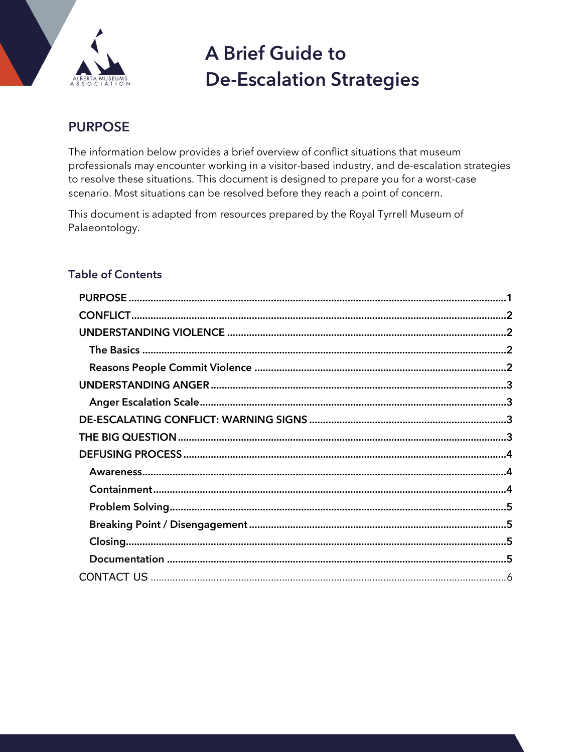

# **A Brief Guide to De-Escalation Strategies**

# <span id="page-0-0"></span>**PURPOSE**

The information below provides a brief overview of conflict situations that museum professionals may encounter working in a visitor-based industry, and de-escalation strategies to resolve these situations. This document is designed to prepare you for a worst-case scenario. Most situations can be resolved before they reach a point of concern.

This document is adapted from resources prepared by the Royal Tyrrell Museum of Palaeontology.

## **Table of Contents**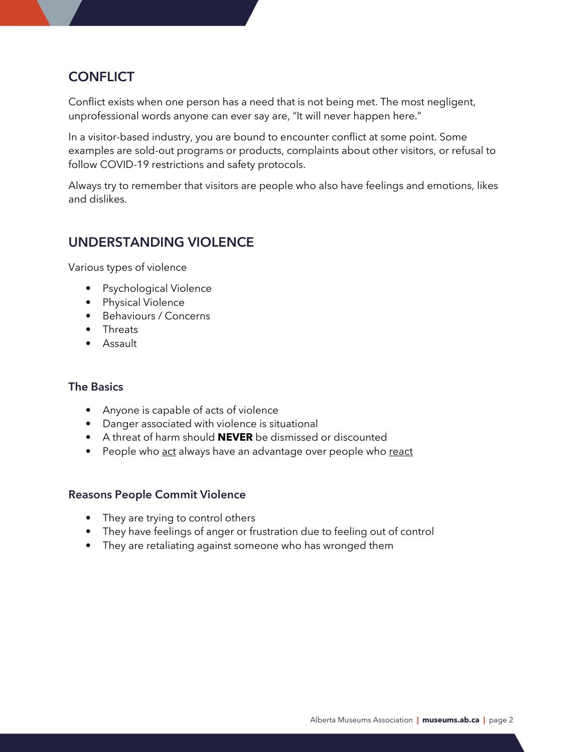## <span id="page-1-0"></span>**CONFLICT**

Conflict exists when one person has a need that is not being met. The most negligent, unprofessional words anyone can ever say are, "It will never happen here."

In a visitor-based industry, you are bound to encounter conflict at some point. Some examples are sold-out programs or products, complaints about other visitors, or refusal to follow COVID-19 restrictions and safety protocols.

Always try to remember that visitors are people who also have feelings and emotions, likes and dislikes.

## <span id="page-1-1"></span>**UNDERSTANDING VIOLENCE**

Various types of violence

- Psychological Violence
- Physical Violence
- Behaviours / Concerns
- Threats
- Assault

#### <span id="page-1-2"></span>**The Basics**

- Anyone is capable of acts of violence
- Danger associated with violence is situational
- A threat of harm should **NEVER** be dismissed or discounted
- People who act always have an advantage over people who react

#### <span id="page-1-3"></span>**Reasons People Commit Violence**

- They are trying to control others
- They have feelings of anger or frustration due to feeling out of control
- They are retaliating against someone who has wronged them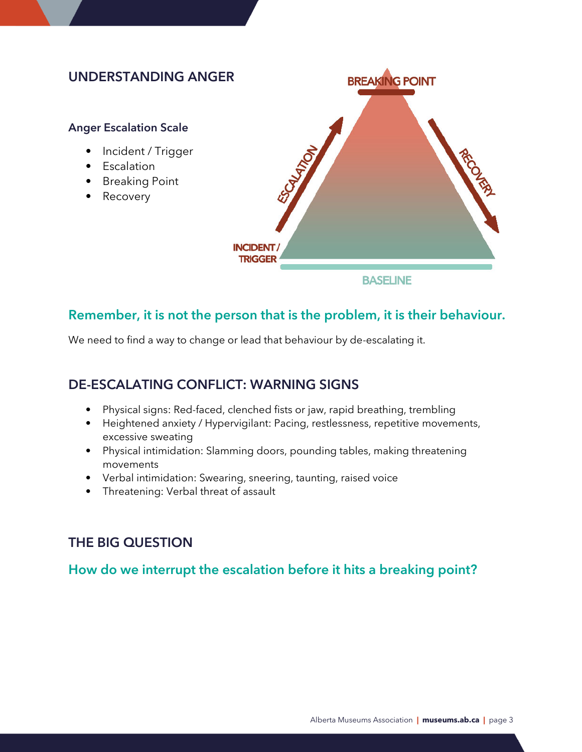## <span id="page-2-0"></span>**UNDERSTANDING ANGER**

#### <span id="page-2-1"></span>**Anger Escalation Scale**

- Incident / Trigger
- Escalation
- Breaking Point
- Recovery



## **Remember, it is not the person that is the problem, it is their behaviour.**

We need to find a way to change or lead that behaviour by de-escalating it.

## <span id="page-2-2"></span>**DE-ESCALATING CONFLICT: WARNING SIGNS**

- Physical signs: Red-faced, clenched fists or jaw, rapid breathing, trembling
- Heightened anxiety / Hypervigilant: Pacing, restlessness, repetitive movements, excessive sweating
- Physical intimidation: Slamming doors, pounding tables, making threatening movements
- Verbal intimidation: Swearing, sneering, taunting, raised voice
- Threatening: Verbal threat of assault

## <span id="page-2-3"></span>**THE BIG QUESTION**

## **How do we interrupt the escalation before it hits a breaking point?**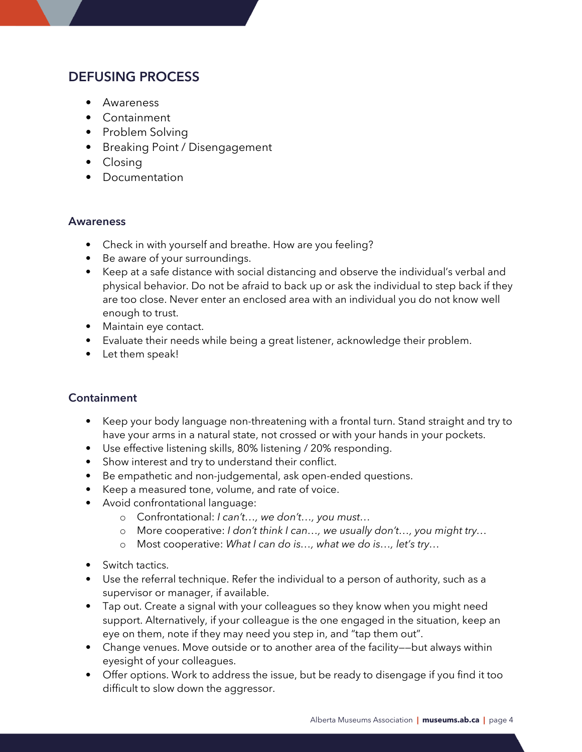## <span id="page-3-0"></span>**DEFUSING PROCESS**

- Awareness
- Containment
- Problem Solving
- Breaking Point / Disengagement
- Closing
- Documentation

#### <span id="page-3-1"></span>**Awareness**

- Check in with yourself and breathe. How are you feeling?
- Be aware of your surroundings.
- Keep at a safe distance with social distancing and observe the individual's verbal and physical behavior. Do not be afraid to back up or ask the individual to step back if they are too close. Never enter an enclosed area with an individual you do not know well enough to trust.
- Maintain eye contact.
- Evaluate their needs while being a great listener, acknowledge their problem.
- Let them speak!

#### <span id="page-3-2"></span>**Containment**

- Keep your body language non-threatening with a frontal turn. Stand straight and try to have your arms in a natural state, not crossed or with your hands in your pockets.
- Use effective listening skills, 80% listening / 20% responding.
- Show interest and try to understand their conflict.
- Be empathetic and non-judgemental, ask open-ended questions.
- Keep a measured tone, volume, and rate of voice.
- Avoid confrontational language:
	- o Confrontational: *I can't…, we don't…, you must…*
	- o More cooperative: *I don't think I can…, we usually don't…, you might try…*
	- o Most cooperative: *What I can do is…, what we do is…, let's try…*
- Switch tactics.
- Use the referral technique. Refer the individual to a person of authority, such as a supervisor or manager, if available.
- Tap out. Create a signal with your colleagues so they know when you might need support. Alternatively, if your colleague is the one engaged in the situation, keep an eye on them, note if they may need you step in, and "tap them out".
- Change venues. Move outside or to another area of the facility——but always within eyesight of your colleagues.
- Offer options. Work to address the issue, but be ready to disengage if you find it too difficult to slow down the aggressor.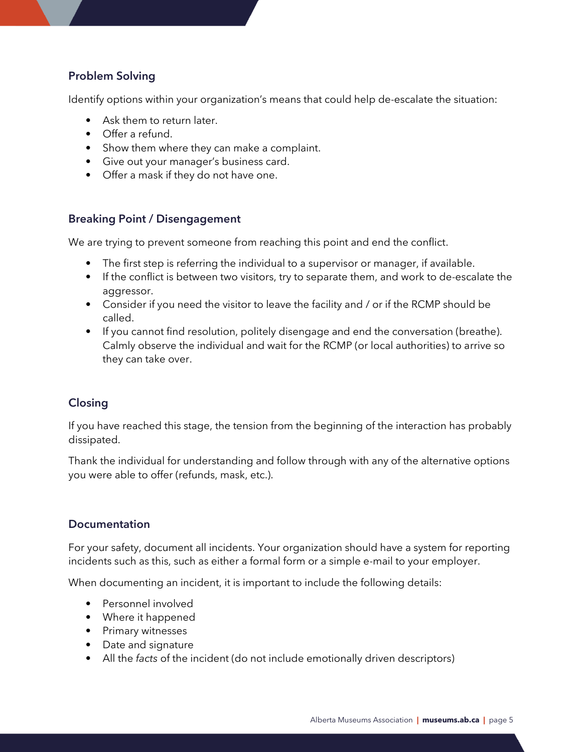#### <span id="page-4-0"></span>**Problem Solving**

Identify options within your organization's means that could help de-escalate the situation:

- Ask them to return later.
- Offer a refund.
- Show them where they can make a complaint.
- Give out your manager's business card.
- Offer a mask if they do not have one.

#### <span id="page-4-1"></span>**Breaking Point / Disengagement**

We are trying to prevent someone from reaching this point and end the conflict.

- The first step is referring the individual to a supervisor or manager, if available.
- If the conflict is between two visitors, try to separate them, and work to de-escalate the aggressor.
- Consider if you need the visitor to leave the facility and / or if the RCMP should be called.
- If you cannot find resolution, politely disengage and end the conversation (breathe). Calmly observe the individual and wait for the RCMP (or local authorities) to arrive so they can take over.

#### <span id="page-4-2"></span>**Closing**

If you have reached this stage, the tension from the beginning of the interaction has probably dissipated.

Thank the individual for understanding and follow through with any of the alternative options you were able to offer (refunds, mask, etc.).

#### <span id="page-4-3"></span>**Documentation**

For your safety, document all incidents. Your organization should have a system for reporting incidents such as this, such as either a formal form or a simple e-mail to your employer.

When documenting an incident, it is important to include the following details:

- Personnel involved
- Where it happened
- Primary witnesses
- Date and signature
- <span id="page-4-4"></span>• All the *facts* of the incident (do not include emotionally driven descriptors)